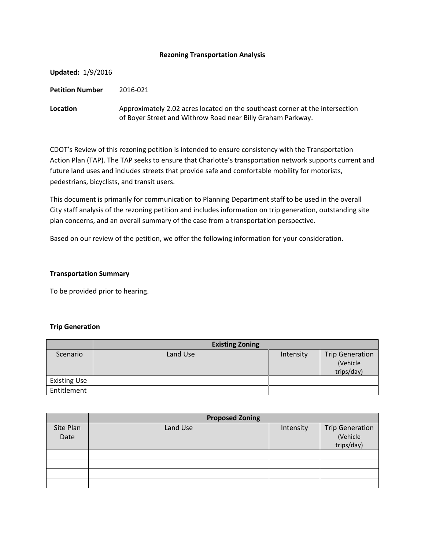## **Rezoning Transportation Analysis**

| <b>Updated: 1/9/2016</b> |                                                                                                                                             |
|--------------------------|---------------------------------------------------------------------------------------------------------------------------------------------|
| <b>Petition Number</b>   | 2016-021                                                                                                                                    |
| Location                 | Approximately 2.02 acres located on the southeast corner at the intersection<br>of Boyer Street and Withrow Road near Billy Graham Parkway. |

CDOT's Review of this rezoning petition is intended to ensure consistency with the Transportation Action Plan (TAP). The TAP seeks to ensure that Charlotte's transportation network supports current and future land uses and includes streets that provide safe and comfortable mobility for motorists, pedestrians, bicyclists, and transit users.

This document is primarily for communication to Planning Department staff to be used in the overall City staff analysis of the rezoning petition and includes information on trip generation, outstanding site plan concerns, and an overall summary of the case from a transportation perspective.

Based on our review of the petition, we offer the following information for your consideration.

## **Transportation Summary**

To be provided prior to hearing.

#### **Trip Generation**

|                     | <b>Existing Zoning</b> |           |                                                  |
|---------------------|------------------------|-----------|--------------------------------------------------|
| Scenario            | Land Use               | Intensity | <b>Trip Generation</b><br>(Vehicle<br>trips/day) |
| <b>Existing Use</b> |                        |           |                                                  |
| Entitlement         |                        |           |                                                  |

|                   | <b>Proposed Zoning</b> |           |                                                  |  |
|-------------------|------------------------|-----------|--------------------------------------------------|--|
| Site Plan<br>Date | Land Use               | Intensity | <b>Trip Generation</b><br>(Vehicle<br>trips/day) |  |
|                   |                        |           |                                                  |  |
|                   |                        |           |                                                  |  |
|                   |                        |           |                                                  |  |
|                   |                        |           |                                                  |  |